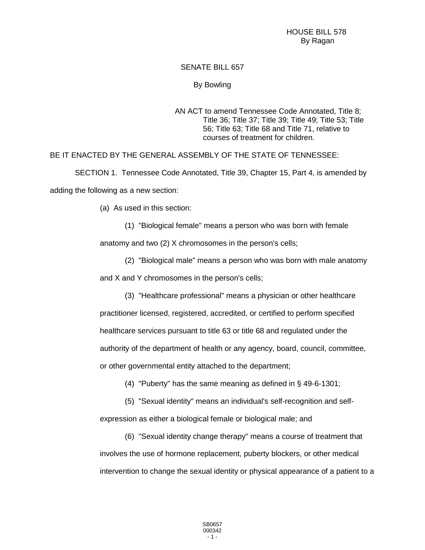HOUSE BILL 578 By Ragan

## SENATE BILL 657

## By Bowling

AN ACT to amend Tennessee Code Annotated, Title 8; Title 36; Title 37; Title 39; Title 49; Title 53; Title 56; Title 63; Title 68 and Title 71, relative to courses of treatment for children.

BE IT ENACTED BY THE GENERAL ASSEMBLY OF THE STATE OF TENNESSEE:

SECTION 1. Tennessee Code Annotated, Title 39, Chapter 15, Part 4, is amended by adding the following as a new section:

(a) As used in this section:

(1) "Biological female" means a person who was born with female anatomy and two (2) X chromosomes in the person's cells;

(2) "Biological male" means a person who was born with male anatomy and X and Y chromosomes in the person's cells;

(3) "Healthcare professional" means a physician or other healthcare practitioner licensed, registered, accredited, or certified to perform specified healthcare services pursuant to title 63 or title 68 and regulated under the authority of the department of health or any agency, board, council, committee, or other governmental entity attached to the department;

(4) "Puberty" has the same meaning as defined in § 49-6-1301;

(5) "Sexual identity" means an individual's self-recognition and selfexpression as either a biological female or biological male; and

(6) "Sexual identity change therapy" means a course of treatment that involves the use of hormone replacement, puberty blockers, or other medical intervention to change the sexual identity or physical appearance of a patient to a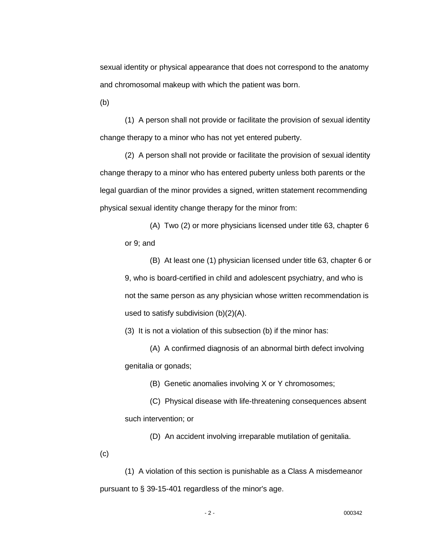sexual identity or physical appearance that does not correspond to the anatomy and chromosomal makeup with which the patient was born.

(b)

(1) A person shall not provide or facilitate the provision of sexual identity change therapy to a minor who has not yet entered puberty.

(2) A person shall not provide or facilitate the provision of sexual identity change therapy to a minor who has entered puberty unless both parents or the legal guardian of the minor provides a signed, written statement recommending physical sexual identity change therapy for the minor from:

(A) Two (2) or more physicians licensed under title 63, chapter 6 or 9; and

(B) At least one (1) physician licensed under title 63, chapter 6 or 9, who is board-certified in child and adolescent psychiatry, and who is not the same person as any physician whose written recommendation is used to satisfy subdivision (b)(2)(A).

(3) It is not a violation of this subsection (b) if the minor has:

(A) A confirmed diagnosis of an abnormal birth defect involving genitalia or gonads;

(B) Genetic anomalies involving X or Y chromosomes;

(C) Physical disease with life-threatening consequences absent such intervention; or

(D) An accident involving irreparable mutilation of genitalia.

(c)

(1) A violation of this section is punishable as a Class A misdemeanor pursuant to § 39-15-401 regardless of the minor's age.

- 2 - 000342